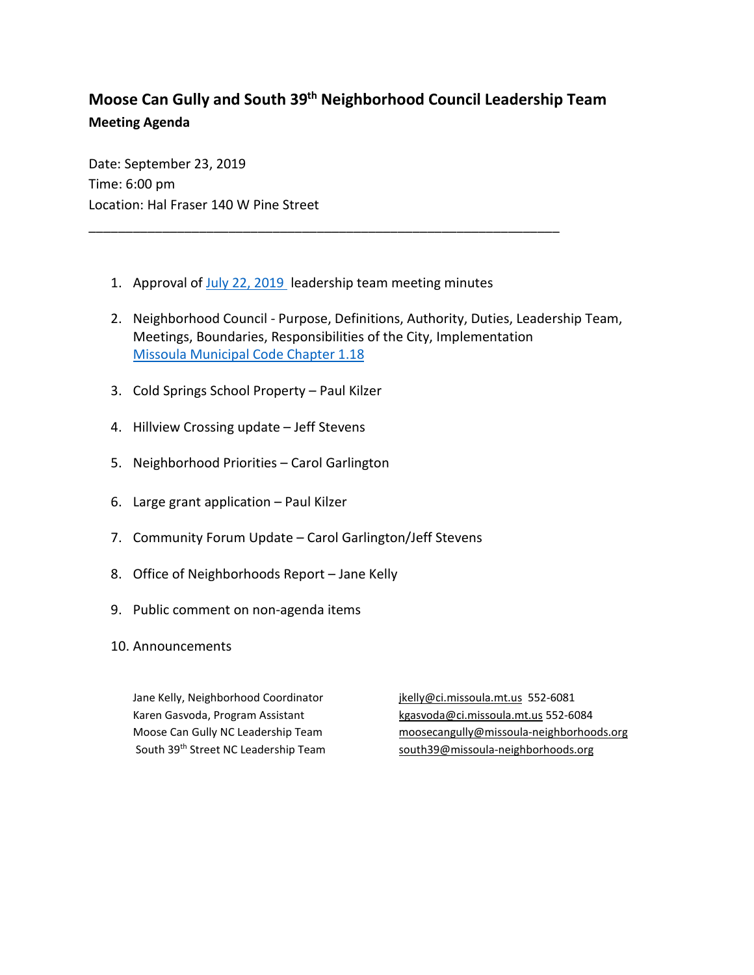## **Moose Can Gully and South 39th Neighborhood Council Leadership Team Meeting Agenda**

Date: September 23, 2019 Time: 6:00 pm Location: Hal Fraser 140 W Pine Street

1. Approval of July [22, 2019](http://www.ci.missoula.mt.us/ArchiveCenter/ViewFile/Item/14362) leadership team meeting minutes

\_\_\_\_\_\_\_\_\_\_\_\_\_\_\_\_\_\_\_\_\_\_\_\_\_\_\_\_\_\_\_\_\_\_\_\_\_\_\_\_\_\_\_\_\_\_\_\_\_\_\_\_\_\_\_\_\_\_\_\_\_\_\_\_

- 2. Neighborhood Council Purpose, Definitions, Authority, Duties, Leadership Team, Meetings, Boundaries, Responsibilities of the City, Implementation [Missoula Municipal Code Chapter 1.18](https://www.ci.missoula.mt.us/DocumentCenter/View/1024/Municipal-Code-Title-01-General-Provisions?bidId=#Chapter_1_18_010)
- 3. Cold Springs School Property Paul Kilzer
- 4. Hillview Crossing update Jeff Stevens
- 5. Neighborhood Priorities Carol Garlington
- 6. Large grant application Paul Kilzer
- 7. Community Forum Update Carol Garlington/Jeff Stevens
- 8. Office of Neighborhoods Report Jane Kelly
- 9. Public comment on non-agenda items
- 10. Announcements

Jane Kelly, Neighborhood Coordinator in its induced in its statement of the Kelly @ci.missoula.mt.us 552-6081

Karen Gasvoda, Program Assistant kan karen karen karena kasar kasas dalam kasar 1952-6084 Moose Can Gully NC Leadership Team [moosecangully@missoula-neighborhoods.org](mailto:moosecangully@missoula-neighborhoods.org) South 39<sup>th</sup> Street NC Leadership Team [south39@missoula-neighborhoods.org](mailto:south39@missoula-neighborhoods.org)